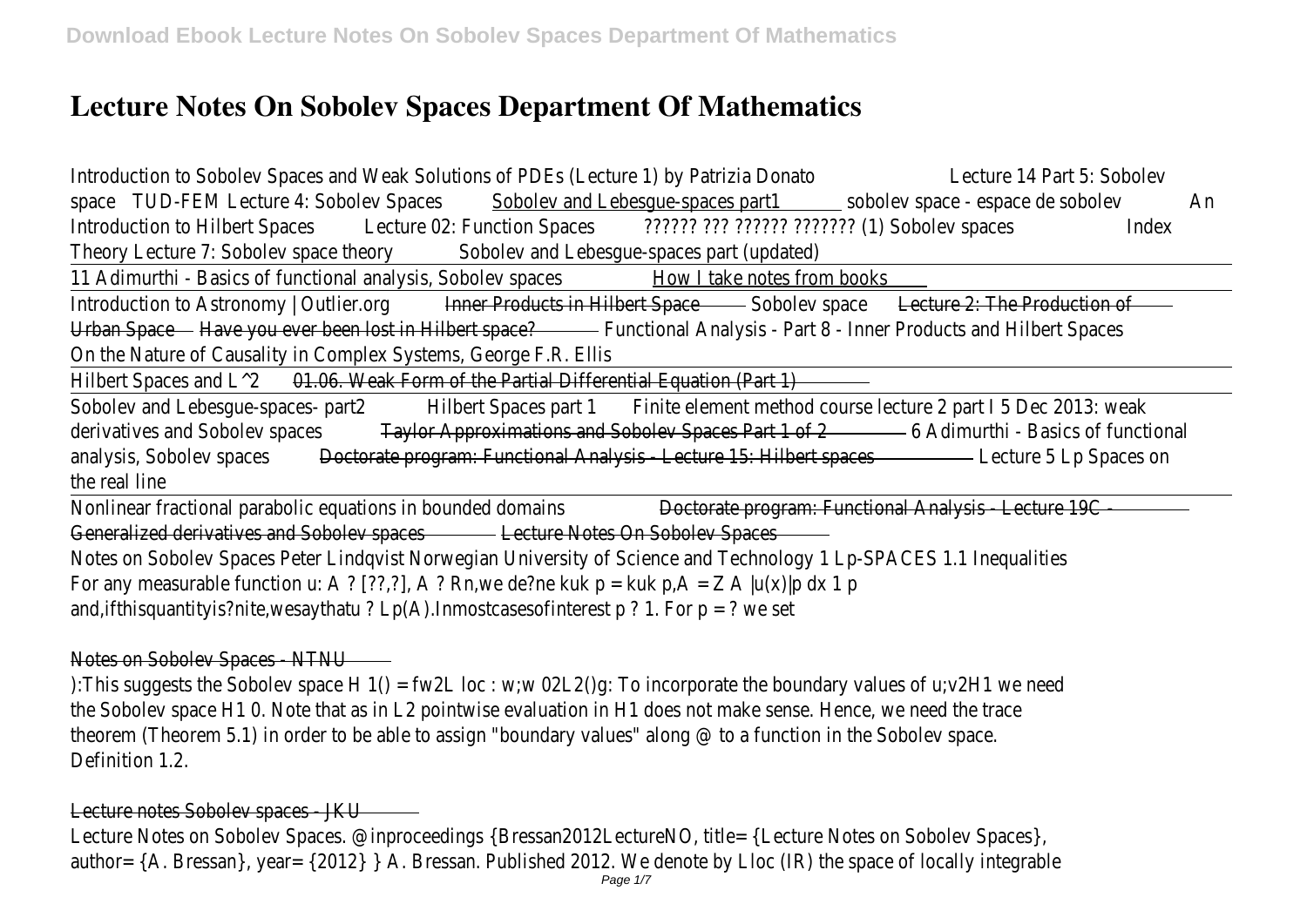# **Lecture Notes On Sobolev Spaces Department Of Mathematics**

| Introduction to Sobolev Spaces and Weak Solutions of PDEs (Lecture 1) by Patrizia Donato<br>Lecture 14 Part 5: Sobolev      |    |
|-----------------------------------------------------------------------------------------------------------------------------|----|
| space TUD-FEM Lecture 4: Sobolev Spaces Sobolev and Lebesgue-spaces part1 sobolev space - espace de sobolev                 | An |
| Introduction to Hilbert Spaces Lecture 02: Function Spaces 777777 777 777777 7777777 (1) Sobolev spaces<br><b>Index</b>     |    |
| Theory Lecture 7: Sobolev space theory<br>Sobolev and Lebesgue-spaces part (updated)                                        |    |
| 11 Adimurthi - Basics of functional analysis, Sobolev spaces<br>How I take notes from books                                 |    |
| Introduction to Astronomy   Outlier.org <b>Exercise In AcceLective Controllect</b> Space <b>Figure</b> 2: The Production of |    |
| Urban Space - Have you ever been lost in Hilbert space? - Functional Analysis - Part 8 - Inner Products and Hilbert Spaces  |    |
| On the Nature of Causality in Complex Systems, George F.R. Ellis                                                            |    |
| 01.06. Weak Form of the Partial Differential Equation (Part 1)<br>Hilbert Spaces and $L^2$                                  |    |
| Sobolev and Lebesgue-spaces- part2<br>Hilbert Spaces part 1 Finite element method course lecture 2 part 15 Dec 2013: weak   |    |
| derivatives and Sobolev spaces<br>Taylor Approximations and Sobolev Spaces Part 1 of 2 - 6 Adimurthi - Basics of functional |    |
| Doctorate program: Functional Analysis - Lecture 15: Hilbert spaces - Lecture 5 Lp Spaces on<br>analysis, Sobolev spaces    |    |
| the real line                                                                                                               |    |
| Nonlinear fractional parabolic equations in bounded domains<br>Doctorate program: Functional Analysis - Lecture 19C         |    |
| Generalized derivatives and Sobolev spaces <b>Communication Execture Notes On Sobolev Spaces</b>                            |    |
| Notes on Sobolev Spaces Peter Lindqvist Norwegian University of Science and Technology 1 Lp-SPACES 1.1 Inequalities         |    |
| For any measurable function u: A ? [??,?], A ? Rn, we de?ne kuk $p = kuk p, A = Z A  u(x) p dx 1 p$                         |    |
| and, if this quantity is?nite, we say that $u$ ? Lp(A). In most cases of interest p? 1. For p = ? we set                    |    |
|                                                                                                                             |    |

## Notes on Sobolev Spaces - NTNU

):This suggests the Sobolev space H 1() = fw2L loc : w;w 02L2()g: To incorporate the boundary values of u;v2H1 we need the Sobolev space H1 0. Note that as in L2 pointwise evaluation in H1 does not make sense. Hence, we need the trace theorem (Theorem 5.1) in order to be able to assign "boundary values" along @ to a function in the Sobolev space. Definition 1.2.

## Lecture notes Sobolev spaces - JKU

Lecture Notes on Sobolev Spaces. @inproceedings {Bressan2012LectureNO, title= {Lecture Notes on Sobolev Spaces}, author= {A. Bressan}, year= {2012} } A. Bressan. Published 2012. We denote by Lloc (IR) the space of locally integrable Page 1/7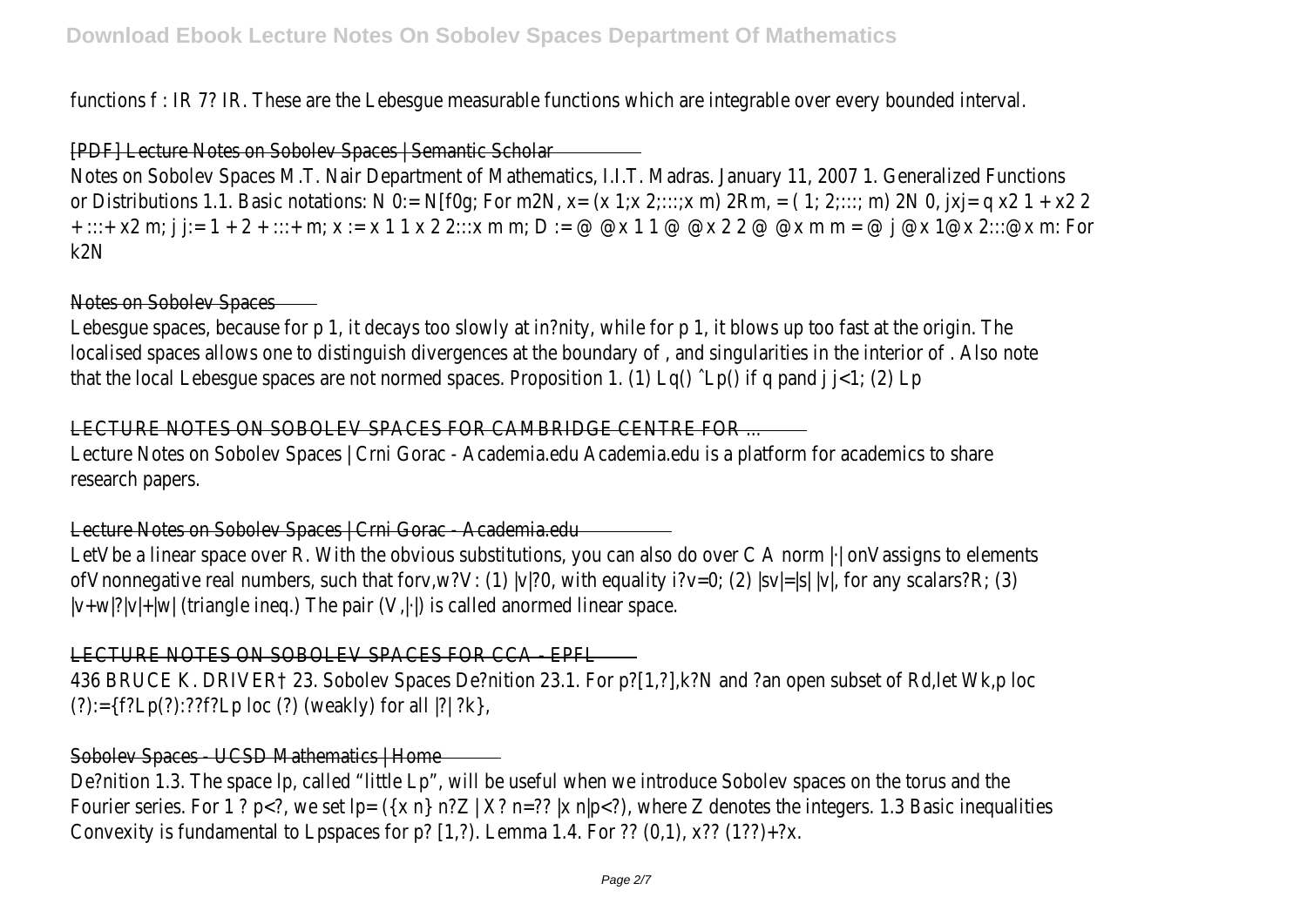functions f : IR 7? IR. These are the Lebesgue measurable functions which are integrable over every bounded interval.

## [PDF] Lecture Notes on Sobolev Spaces | Semantic Scholar

Notes on Sobolev Spaces M.T. Nair Department of Mathematics, I.I.T. Madras. January 11, 2007 1. Generalized Functions or Distributions 1.1. Basic notations: N 0:= N[f0q; For m2N, x=  $(x 1,x 2,...,x m) 2Rm$ , =  $(1, 2,..., m) 2N 0$ ,  $|x| = q x2 1 + x2 2$ + :::+ x2 m; j j:= 1 + 2 + :::+ m; x := x 1 1 x 2 2:::x m m; D := @ @x 1 1 @ @x 2 2 @ @x m m = @ j @x 1@x 2:::@x m: For k2N

## Notes on Sobolev Spaces

Lebesgue spaces, because for p 1, it decays too slowly at in?nity, while for p 1, it blows up too fast at the origin. The localised spaces allows one to distinguish divergences at the boundary of , and singularities in the interior of . Also note that the local Lebesgue spaces are not normed spaces. Proposition 1. (1) Lq() ˆLp() if q pand j j<1; (2) Lp

## LECTURE NOTES ON SOBOLEV SPACES FOR CAMBRIDGE CENTRE FOR ...

Lecture Notes on Sobolev Spaces | Crni Gorac - Academia.edu Academia.edu is a platform for academics to share research papers.

Lecture Notes on Sobolev Spaces | Crni Gorac - Academia.edu

LetVbe a linear space over R. With the obvious substitutions, you can also do over C A norm  $\lvert \cdot \rvert$  onVassigns to elements ofVnonnegative real numbers, such that forv,w?V: (1) |v|?0, with equality i?v=0; (2) |sv|=|s| |v|, for any scalars?R; (3)  $|v+w|$ ? $|v|+|w|$  (triangle ineg.) The pair  $(V,|\cdot|)$  is called anormed linear space.

# LECTURE NOTES ON SOBOLEV SPACES FOR CCA - EPFL

436 BRUCE K. DRIVER† 23. Sobolev Spaces De?nition 23.1. For p?[1,?],k?N and ?an open subset of Rd,let Wk,p loc  $(?):=\{f?Lp(?):??f?Lp loc (?)$  (weakly) for all  $]?\;?R\}$ 

## Sobolev Spaces - UCSD Mathematics | Home

De?nition 1.3. The space lp, called "little Lp", will be useful when we introduce Sobolev spaces on the torus and the Fourier series. For 1 ? p<?, we set  $lp = (\{x \ n\} \ n?Z \mid X? \ n=?? \mid x \ n|p)</math, where Z denotes the integers. 1.3 Basic inequalities$ Convexity is fundamental to Lpspaces for p?  $[1,2)$ . Lemma 1.4. For ??  $(0,1)$ , x??  $(1??)+?x$ .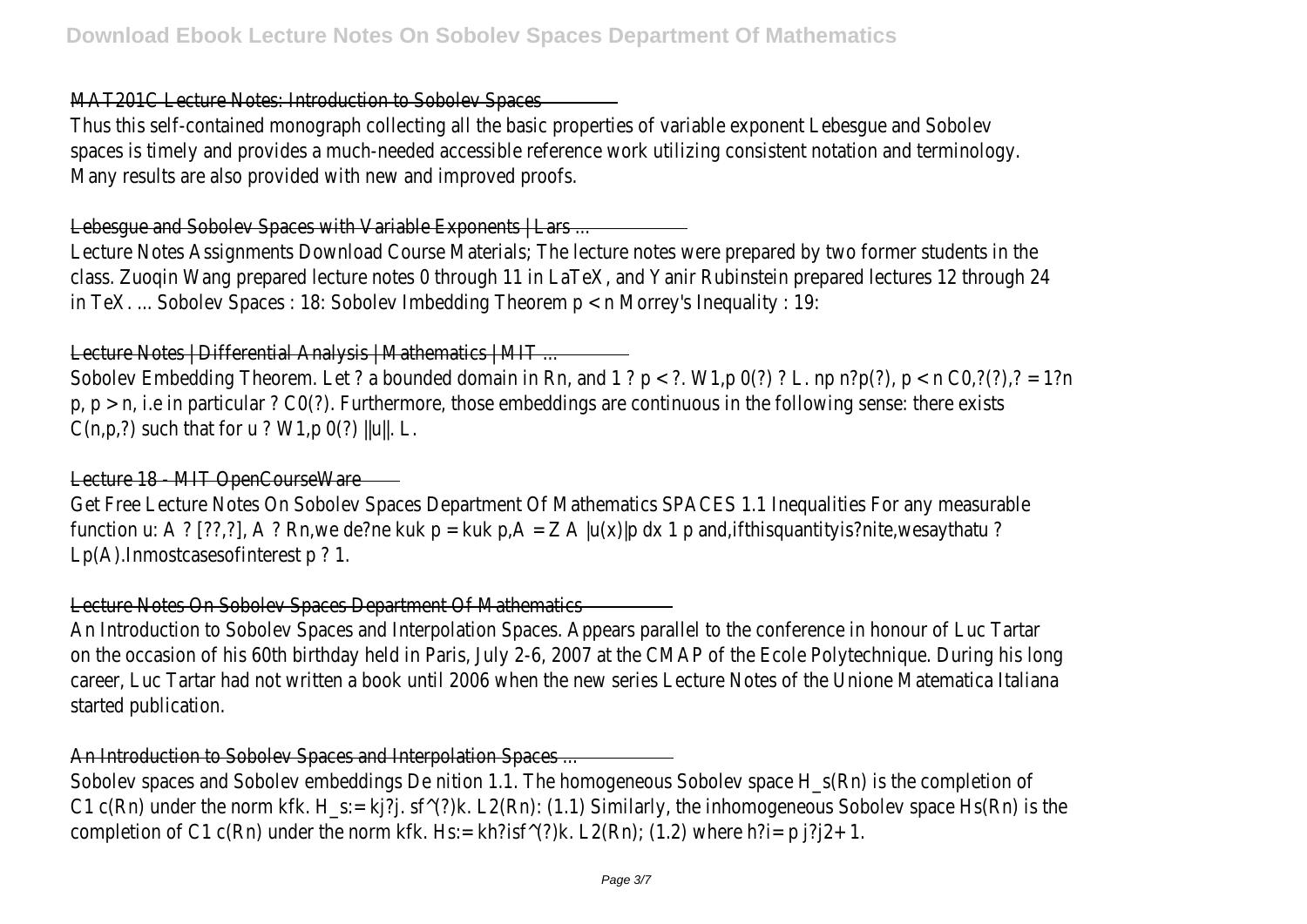MAT201C Lecture Notes: Introduction to Sobolev Spaces

Thus this self-contained monograph collecting all the basic properties of variable exponent Lebesgue and Sobolev spaces is timely and provides a much-needed accessible reference work utilizing consistent notation and terminology. Many results are also provided with new and improved proofs.

Lebesque and Sobolev Spaces with Variable Exponents | Lars ...

Lecture Notes Assignments Download Course Materials; The lecture notes were prepared by two former students in the class. Zuoqin Wang prepared lecture notes 0 through 11 in LaTeX, and Yanir Rubinstein prepared lectures 12 through 24 in TeX. ... Sobolev Spaces : 18: Sobolev Imbedding Theorem p < n Morrey's Inequality : 19:

Lecture Notes | Differential Analysis | Mathematics | MIT ...

Sobolev Embedding Theorem. Let ? a bounded domain in Rn, and 1 ?  $p < ?$ . W1,p 0(?) ? L. np n?p(?),  $p < n$  CO,?(?),? = 1?n  $p, p > n$ , i.e in particular ? CO(?). Furthermore, those embeddings are continuous in the following sense: there exists  $C(n,p,?)$  such that for u ? W1,p  $O(?)$  ||u||. L.

Lecture 18 - MIT OpenCourseWare

Get Free Lecture Notes On Sobolev Spaces Department Of Mathematics SPACES 1.1 Inequalities For any measurable function u: A ? [??,?], A ? Rn, we de?ne kuk p = kuk p, A = Z A |u(x)|p dx 1 p and, if this quantity is?nite, we say that u ? Lp(A).Inmostcasesofinterest p ? 1.

Lecture Notes On Sobolev Spaces Department Of Mathematics

An Introduction to Sobolev Spaces and Interpolation Spaces. Appears parallel to the conference in honour of Luc Tartar on the occasion of his 60th birthday held in Paris, July 2-6, 2007 at the CMAP of the Ecole Polytechnique. During his long career, Luc Tartar had not written a book until 2006 when the new series Lecture Notes of the Unione Matematica Italiana started publication.

An Introduction to Sobolev Spaces and Interpolation Spaces ...

Sobolev spaces and Sobolev embeddings De nition 1.1. The homogeneous Sobolev space H\_s(Rn) is the completion of C1 c(Rn) under the norm kfk. H\_s:= kj?j. sf^(?)k. L2(Rn): (1.1) Similarly, the inhomogeneous Sobolev space Hs(Rn) is the completion of C1 c(Rn) under the norm kfk. Hs:= kh?isf^(?)k. L2(Rn); (1.2) where h?i= p j?j2+ 1.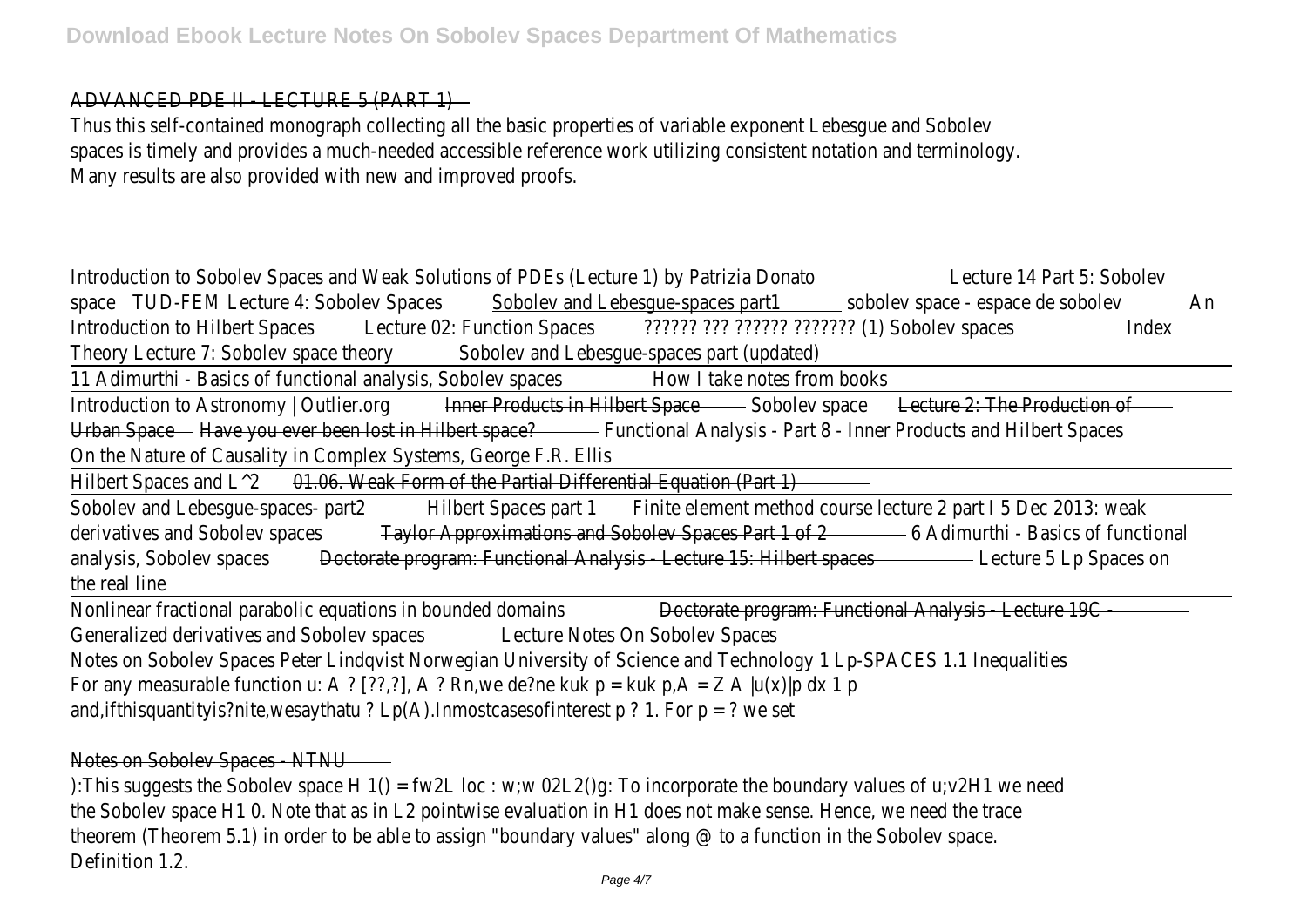ADVANCED PDE II - LECTURE 5 (PART 1)

Thus this self-contained monograph collecting all the basic properties of variable exponent Lebesgue and Sobolev spaces is timely and provides a much-needed accessible reference work utilizing consistent notation and terminology. Many results are also provided with new and improved proofs.

Introduction to Sobolev Spaces and Weak Solutions of PDEs (Lecture 1) by Patrizia Donato Lecture 14 Part 5: Sobolev space TUD-FEM Lecture 4: Sobolev Spaces Sobolev and Lebesgue-spaces part1 sobolev space - espace de sobolev An Introduction to Hilbert Spaces Lecture 02: Function Spaces ??????? ??? ??????? (1) Sobolev spaces Index Theory Lecture 7: Sobolev space theory Sobolev and Lebesgue-spaces part (updated) 11 Adimurthi - Basics of functional analysis, Sobolev spaces How I take notes from books Introduction to Astronomy | Outlier.org **Inner Products in Hilbert Space** Sobolev space Lecture 2: The Production of Urban Space Have you ever been lost in Hilbert space? Functional Analysis - Part 8 - Inner Products and Hilbert Spaces On the Nature of Causality in Complex Systems, George F.R. Ellis Hilbert Spaces and  $\lfloor$   $\wedge$  2 01.06. Weak Form of the Partial Differential Equation (Part 1) Sobolev and Lebesque-spaces- part2 Hilbert Spaces part 1 Finite element method course lecture 2 part I 5 Dec 2013: weak derivatives and Sobolev spaces Taylor Approximations and Sobolev Spaces Part 1 of 2 6 Adimurthi - Basics of functional analysis, Sobolev spaces Doctorate program: Functional Analysis - Lecture 15: Hilbert spaces Lecture 5 Lp Spaces on the real line Nonlinear fractional parabolic equations in bounded domains Doctorate program: Functional Analysis - Lecture 19C Generalized derivatives and Sobolev spaces Lecture Notes On Sobolev Spaces Notes on Sobolev Spaces Peter Lindqvist Norwegian University of Science and Technology 1 Lp-SPACES 1.1 Inequalities For any measurable function u: A ? [??,?], A ? Rn, we de?ne kuk  $p = kuk p$ , A = Z A |u(x)|p dx 1 p and, if this quantity is?nite, we say that  $u$  ? Lp(A). In most cases of interest p ? 1. For p = ? we set

# Notes on Sobolev Spaces - NTNU

):This suggests the Sobolev space H 1() = fw2L loc : w;w 02L2()g: To incorporate the boundary values of u;v2H1 we need the Sobolev space H1 0. Note that as in L2 pointwise evaluation in H1 does not make sense. Hence, we need the trace theorem (Theorem 5.1) in order to be able to assign "boundary values" along @ to a function in the Sobolev space. Definition 1.2.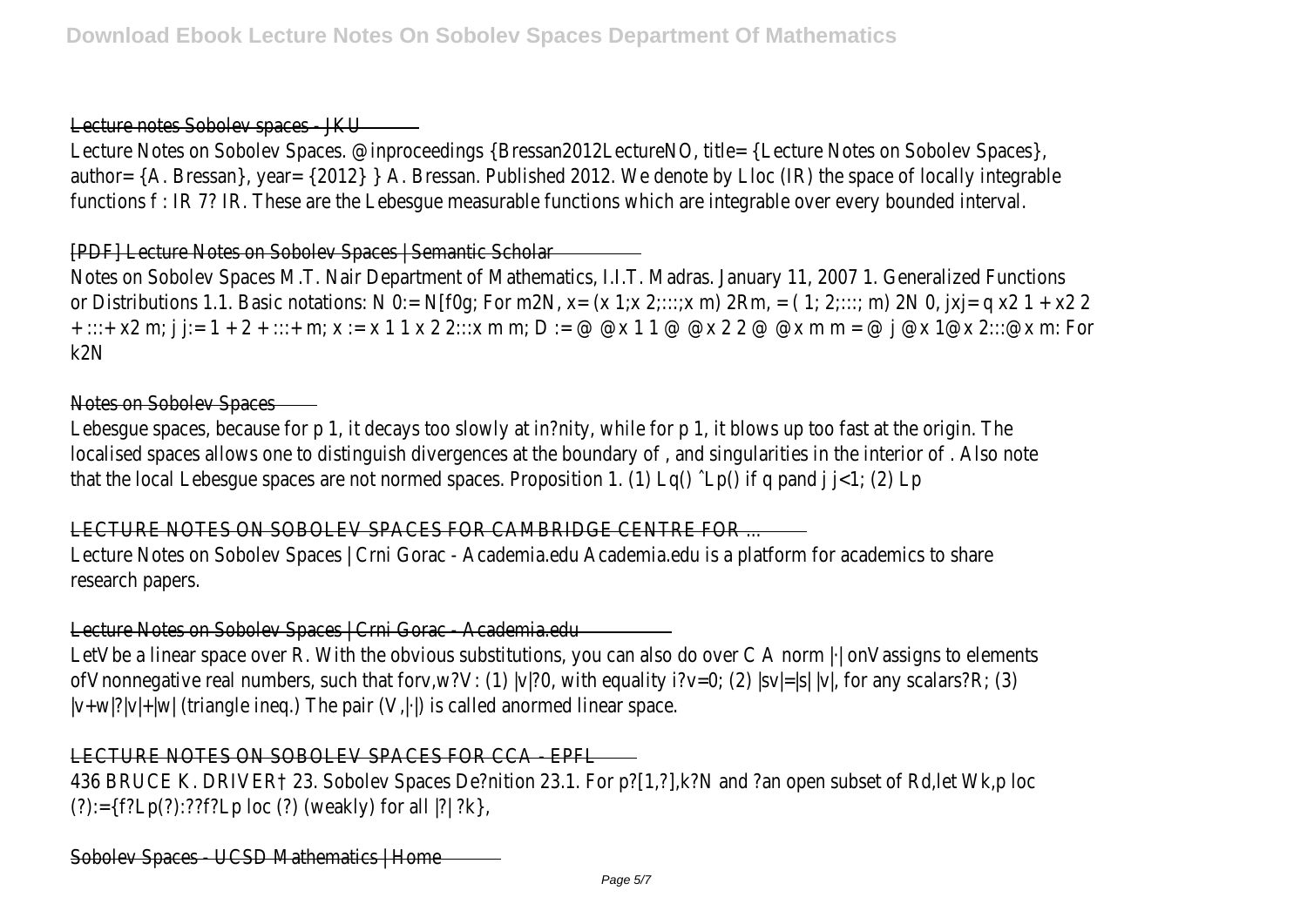#### Lecture notes Sobolev spaces - JKU

Lecture Notes on Sobolev Spaces. @inproceedings {Bressan2012LectureNO, title= {Lecture Notes on Sobolev Spaces}, author= {A. Bressan}, year= {2012} } A. Bressan. Published 2012. We denote by Lloc (IR) the space of locally integrable functions f : IR 7? IR. These are the Lebesgue measurable functions which are integrable over every bounded interval.

## [PDF] Lecture Notes on Sobolev Spaces | Semantic Scholar

Notes on Sobolev Spaces M.T. Nair Department of Mathematics, I.I.T. Madras. January 11, 2007 1. Generalized Functions or Distributions 1.1. Basic notations: N 0:= N[f0g; For m2N, x=  $(x 1,x 2,...,x m) 2Rm$ , =  $(1, 2,..., m) 2N 0$ ,  $|x| = q x2 1 + x2 2$ + :::+ x2 m; j j:= 1 + 2 + :::+ m; x := x 1 1 x 2 2:::x m m; D := @ @x 1 1 @ @x 2 2 @ @x m m = @ j @x 1@x 2:::@x m: For k2N

#### Notes on Sobolev Spaces

Lebesgue spaces, because for p 1, it decays too slowly at in?nity, while for p 1, it blows up too fast at the origin. The localised spaces allows one to distinguish divergences at the boundary of , and singularities in the interior of . Also note that the local Lebesgue spaces are not normed spaces. Proposition 1. (1) Lq()  $\cap$  Lp() if q pand j  $\in$ 1; (2) Lp

LECTURE NOTES ON SOBOLEV SPACES FOR CAMBRIDGE CENTRE FOR ...

Lecture Notes on Sobolev Spaces | Crni Gorac - Academia.edu Academia.edu is a platform for academics to share research papers.

## Lecture Notes on Sobolev Spaces | Crni Gorac - Academia.edu

LetVbe a linear space over R. With the obvious substitutions, you can also do over C A norm  $|\cdot|$  onVassigns to elements ofVnonnegative real numbers, such that forv,w?V: (1) |v|?0, with equality i?v=0; (2) |sv|=|s| |v|, for any scalars?R; (3)  $|v+w|$ ? $|v|+|w|$  (triangle ineg.) The pair  $(V,|\cdot|)$  is called anormed linear space.

## LECTURE NOTES ON SOBOLEV SPACES FOR CCA - EPFL

436 BRUCE K. DRIVER† 23. Sobolev Spaces De?nition 23.1. For p?[1,?],k?N and ?an open subset of Rd,let Wk,p loc (?):={f?Lp(?):??f?Lp loc (?) (weakly) for all |?| ?k},

Sobolev Spaces - UCSD Mathematics | Home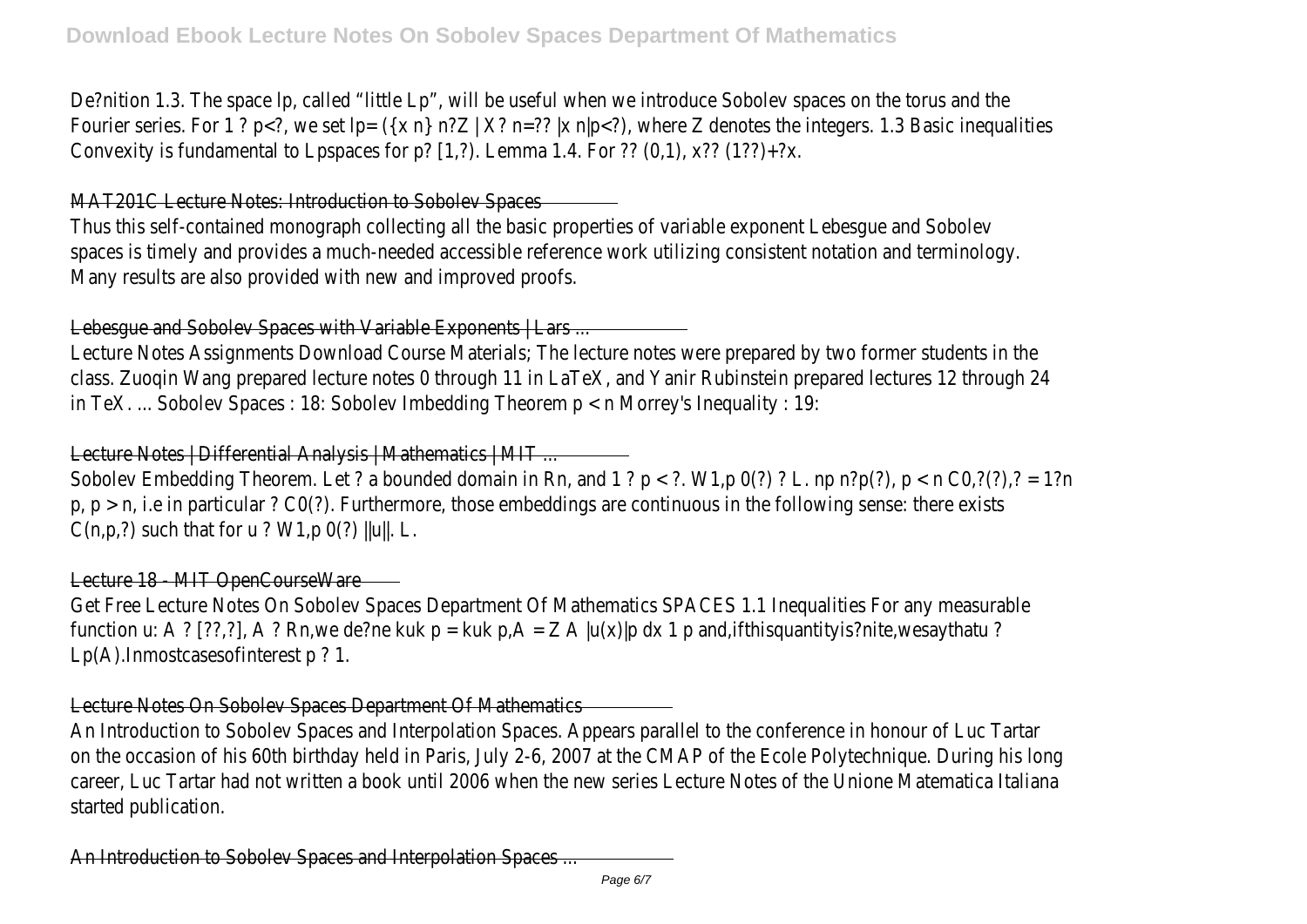De?nition 1.3. The space lp, called "little Lp", will be useful when we introduce Sobolev spaces on the torus and the Fourier series. For 1 ? p<?, we set  $|p= (\{x \ n\} \ n?Z | X? \ n=?? |x \ n|p)</math, where Z denotes the integers. 1.3 Basic inequalities$ Convexity is fundamental to Lpspaces for p? [1,?). Lemma 1.4. For ?? (0,1),  $x$ ?? (1??)+?x.

MAT201C Lecture Notes: Introduction to Sobolev Spaces

Thus this self-contained monograph collecting all the basic properties of variable exponent Lebesgue and Sobolev spaces is timely and provides a much-needed accessible reference work utilizing consistent notation and terminology. Many results are also provided with new and improved proofs.

Lebesgue and Sobolev Spaces with Variable Exponents | Lars ...

Lecture Notes Assignments Download Course Materials; The lecture notes were prepared by two former students in the class. Zuoqin Wang prepared lecture notes 0 through 11 in LaTeX, and Yanir Rubinstein prepared lectures 12 through 24 in TeX. ... Sobolev Spaces : 18: Sobolev Imbedding Theorem p < n Morrey's Inequality : 19:

Lecture Notes | Differential Analysis | Mathematics | MIT ...

Sobolev Embedding Theorem. Let ? a bounded domain in Rn, and 1 ?  $p < ?$ . W1,p 0(?) ? L. np n?p(?),  $p < n$  CO,?(?),? = 1?n  $p, p > n$ , i.e in particular ? CO(?). Furthermore, those embeddings are continuous in the following sense: there exists  $C(n,p,?)$  such that for u ? W1,p  $O(?)$  ||u||. L.

Lecture 18 - MIT OpenCourseWare

Get Free Lecture Notes On Sobolev Spaces Department Of Mathematics SPACES 1.1 Inequalities For any measurable function u: A ? [??,?], A ? Rn,we de?ne kuk p = kuk p,A = Z A |u(x)|p dx 1 p and,ifthisquantityis?nite,wesaythatu ? Lp(A).Inmostcasesofinterest p ? 1.

Lecture Notes On Sobolev Spaces Department Of Mathematics

An Introduction to Sobolev Spaces and Interpolation Spaces. Appears parallel to the conference in honour of Luc Tartar on the occasion of his 60th birthday held in Paris, July 2-6, 2007 at the CMAP of the Ecole Polytechnique. During his long career, Luc Tartar had not written a book until 2006 when the new series Lecture Notes of the Unione Matematica Italiana started publication.

An Introduction to Sobolev Spaces and Interpolation Spaces